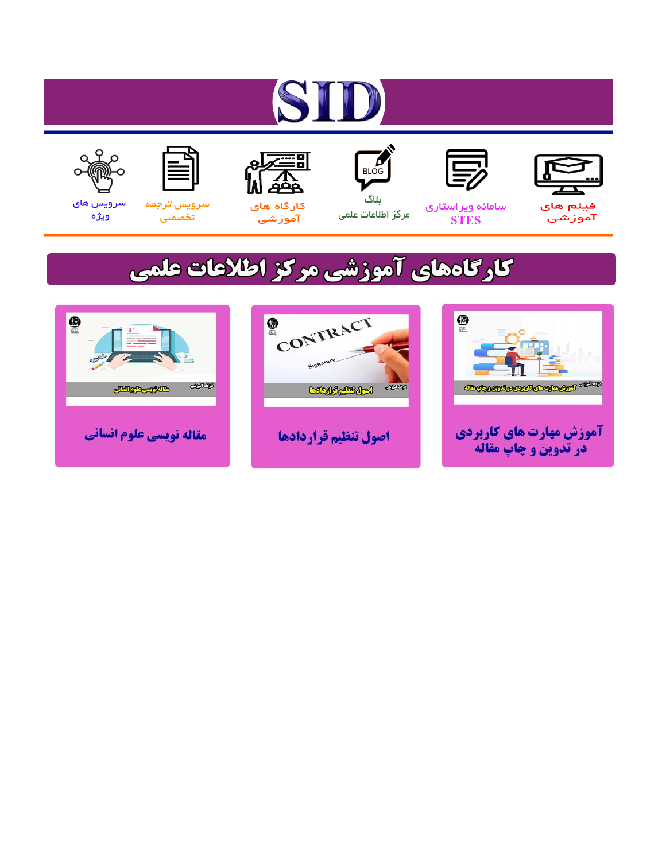# ST











مرکز اطلاعات علمی

 $\frac{1}{\sqrt{\frac{1}{100}}}$ ىلاگ



آموزشي

空

سرويس ترجمه تخصصى



سرویس های ويژه

## كارگاههای آموزشی مركز اطلاعات علمی





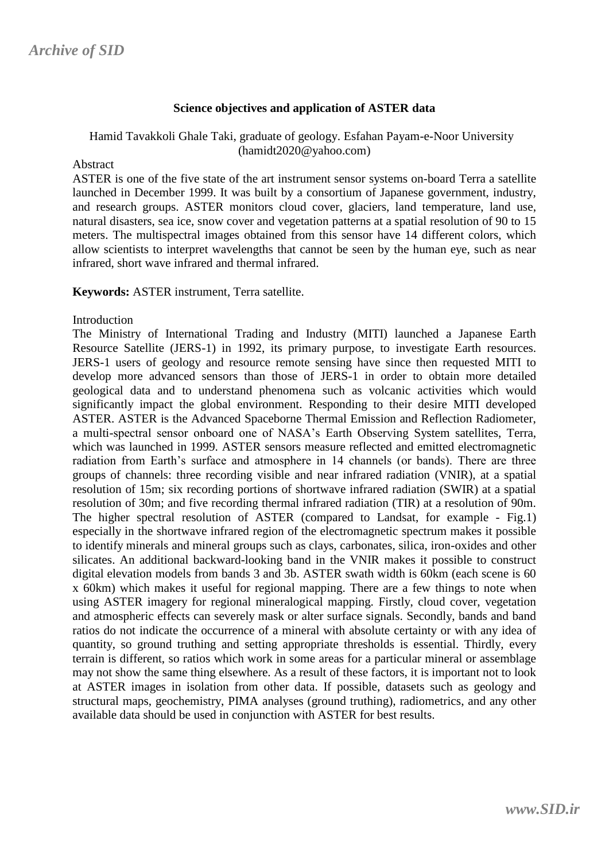#### **Science objectives and application of ASTER data**

Hamid Tavakkoli Ghale Taki, graduate of geology. Esfahan Payam-e-Noor University [\(hamidt2020@yahoo.com\)](mailto:hamidt2020@yahoo.com)

#### Abstract

ASTER is one of the five state of the art instrument sensor systems on-board Terra a satellite launched in December 1999. It was built by a consortium of Japanese government, industry, and research groups. ASTER monitors cloud cover, glaciers, land temperature, land use, natural disasters, sea ice, snow cover and vegetation patterns at a spatial resolution of 90 to 15 meters. The multispectral images obtained from this sensor have 14 different colors, which allow scientists to interpret wavelengths that cannot be seen by the human eye, such as near infrared, short wave infrared and thermal infrared.

**Keywords:** ASTER instrument, Terra satellite.

#### **Introduction**

The Ministry of International Trading and Industry (MITI) launched a Japanese Earth Resource Satellite (JERS-1) in 1992, its primary purpose, to investigate Earth resources. JERS-1 users of geology and resource remote sensing have since then requested MITI to develop more advanced sensors than those of JERS-1 in order to obtain more detailed geological data and to understand phenomena such as volcanic activities which would significantly impact the global environment. Responding to their desire MITI developed ASTER. ASTER is the Advanced Spaceborne Thermal Emission and Reflection Radiometer, a multi-spectral sensor onboard one of NASA's Earth Observing System satellites, Terra, which was launched in 1999. ASTER sensors measure reflected and emitted electromagnetic radiation from Earth's surface and atmosphere in 14 channels (or bands). There are three groups of channels: three recording visible and near infrared radiation (VNIR), at a spatial resolution of 15m; six recording portions of shortwave infrared radiation (SWIR) at a spatial resolution of 30m; and five recording thermal infrared radiation (TIR) at a resolution of 90m. The higher spectral resolution of ASTER (compared to Landsat, for example - Fig.1) especially in the shortwave infrared region of the electromagnetic spectrum makes it possible to identify minerals and mineral groups such as clays, carbonates, silica, iron-oxides and other silicates. An additional backward-looking band in the VNIR makes it possible to construct digital elevation models from bands 3 and 3b. ASTER swath width is 60km (each scene is 60 x 60km) which makes it useful for regional mapping. There are a few things to note when using ASTER imagery for regional mineralogical mapping. Firstly, cloud cover, vegetation and atmospheric effects can severely mask or alter surface signals. Secondly, bands and band ratios do not indicate the occurrence of a mineral with absolute certainty or with any idea of quantity, so ground truthing and setting appropriate thresholds is essential. Thirdly, every terrain is different, so ratios which work in some areas for a particular mineral or assemblage may not show the same thing elsewhere. As a result of these factors, it is important not to look at ASTER images in isolation from other data. If possible, datasets such as geology and structural maps, geochemistry, PIMA analyses (ground truthing), radiometrics, and any other available data should be used in conjunction with ASTER for best results.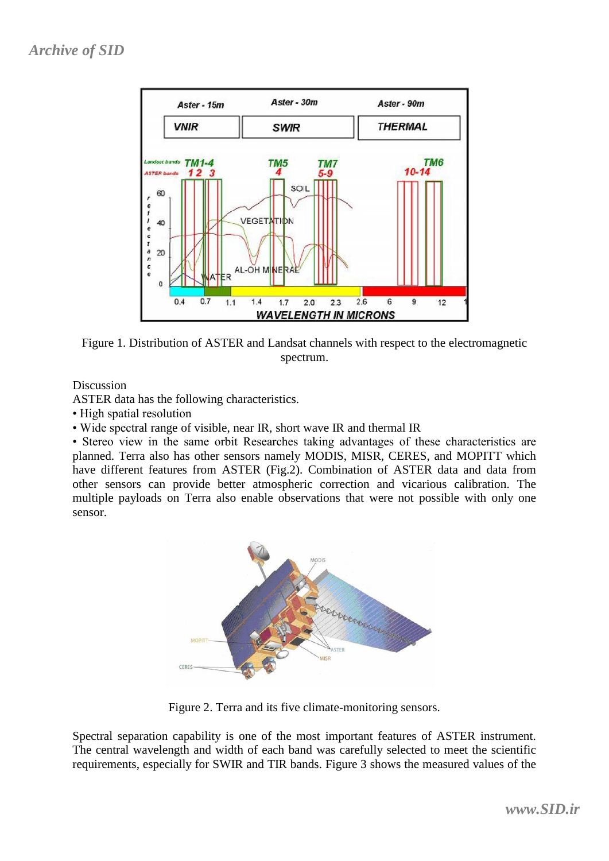

Figure 1. Distribution of ASTER and Landsat channels with respect to the electromagnetic spectrum.

Discussion

ASTER data has the following characteristics.

• High spatial resolution

• Wide spectral range of visible, near IR, short wave IR and thermal IR

• Stereo view in the same orbit Researches taking advantages of these characteristics are planned. Terra also has other sensors namely MODIS, MISR, CERES, and MOPITT which have different features from ASTER (Fig.2). Combination of ASTER data and data from other sensors can provide better atmospheric correction and vicarious calibration. The multiple payloads on Terra also enable observations that were not possible with only one sensor.



Figure 2. Terra and its five climate-monitoring sensors.

Spectral separation capability is one of the most important features of ASTER instrument. The central wavelength and width of each band was carefully selected to meet the scientific requirements, especially for SWIR and TIR bands. Figure 3 shows the measured values of the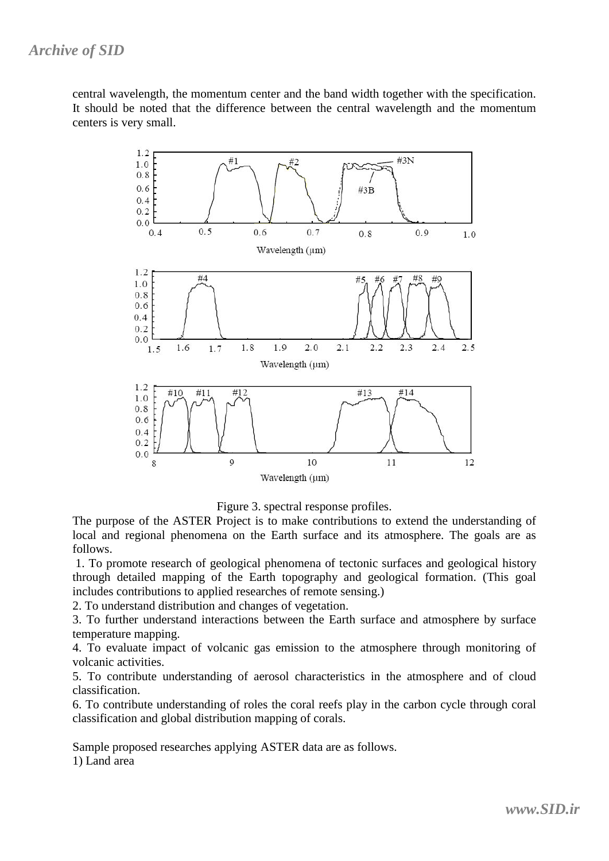central wavelength, the momentum center and the band width together with the specification. It should be noted that the difference between the central wavelength and the momentum centers is very small.



Figure 3. spectral response profiles.

The purpose of the ASTER Project is to make contributions to extend the understanding of local and regional phenomena on the Earth surface and its atmosphere. The goals are as follows.

1. To promote research of geological phenomena of tectonic surfaces and geological history through detailed mapping of the Earth topography and geological formation. (This goal includes contributions to applied researches of remote sensing.)

2. To understand distribution and changes of vegetation.

3. To further understand interactions between the Earth surface and atmosphere by surface temperature mapping.

4. To evaluate impact of volcanic gas emission to the atmosphere through monitoring of volcanic activities.

5. To contribute understanding of aerosol characteristics in the atmosphere and of cloud classification.

6. To contribute understanding of roles the coral reefs play in the carbon cycle through coral classification and global distribution mapping of corals.

Sample proposed researches applying ASTER data are as follows.

1) Land area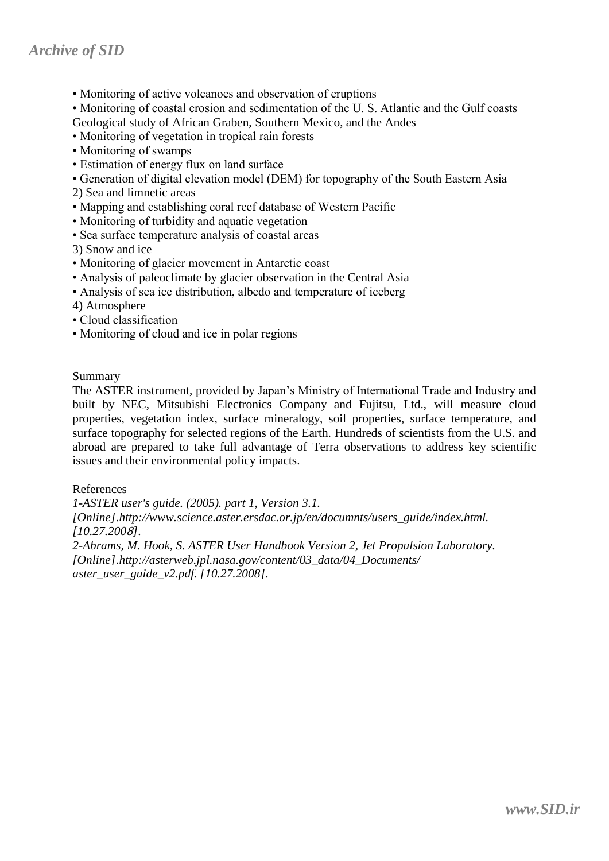### *Archive of SID*

- Monitoring of active volcanoes and observation of eruptions
- Monitoring of coastal erosion and sedimentation of the U. S. Atlantic and the Gulf coasts
- Geological study of African Graben, Southern Mexico, and the Andes
- Monitoring of vegetation in tropical rain forests
- Monitoring of swamps
- Estimation of energy flux on land surface
- Generation of digital elevation model (DEM) for topography of the South Eastern Asia
- 2) Sea and limnetic areas
- Mapping and establishing coral reef database of Western Pacific
- Monitoring of turbidity and aquatic vegetation
- Sea surface temperature analysis of coastal areas

3) Snow and ice

- Monitoring of glacier movement in Antarctic coast
- Analysis of paleoclimate by glacier observation in the Central Asia
- Analysis of sea ice distribution, albedo and temperature of iceberg
- 4) Atmosphere
- Cloud classification
- Monitoring of cloud and ice in polar regions

Summary

The ASTER instrument, provided by Japan's Ministry of International Trade and Industry and built by NEC, Mitsubishi Electronics Company and Fujitsu, Ltd., will measure cloud properties, vegetation index, surface mineralogy, soil properties, surface temperature, and surface topography for selected regions of the Earth. Hundreds of scientists from the U.S. and abroad are prepared to take full advantage of Terra observations to address key scientific issues and their environmental policy impacts.

References

*1-ASTER user's guide. (2005). part 1, Version 3.1. [Online].http://www.science.aster.ersdac.or.jp/en/documnts/users\_guide/index.html. [10.27.200*8*]. 2-Abrams, M. Hook, S. ASTER User Handbook Version 2, Jet Propulsion Laboratory. [Online].http://asterweb.jpl.nasa.gov/content/03\_data/04\_Documents/*

*aster\_user\_guide\_v2.pdf. [10.27.2008].*